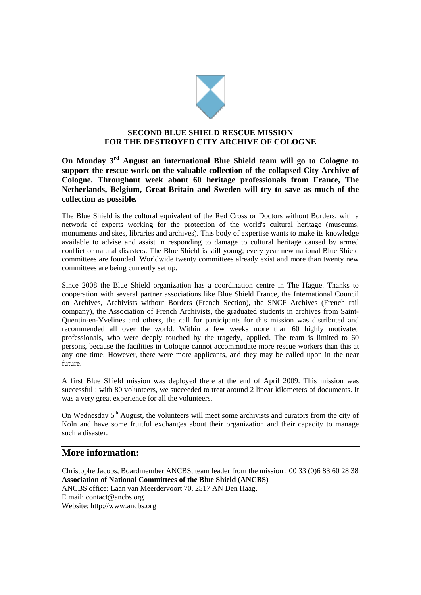

## **SECOND BLUE SHIELD RESCUE MISSION FOR THE DESTROYED CITY ARCHIVE OF COLOGNE**

**On Monday 3rd August an international Blue Shield team will go to Cologne to support the rescue work on the valuable collection of the collapsed City Archive of Cologne. Throughout week about 60 heritage professionals from France, The Netherlands, Belgium, Great-Britain and Sweden will try to save as much of the collection as possible.** 

The Blue Shield is the cultural equivalent of the Red Cross or Doctors without Borders, with a network of experts working for the protection of the world's cultural heritage (museums, monuments and sites, libraries and archives). This body of expertise wants to make its knowledge available to advise and assist in responding to damage to cultural heritage caused by armed conflict or natural disasters. The Blue Shield is still young; every year new national Blue Shield committees are founded. Worldwide twenty committees already exist and more than twenty new committees are being currently set up.

Since 2008 the Blue Shield organization has a coordination centre in The Hague. Thanks to cooperation with several partner associations like Blue Shield France, the International Council on Archives, Archivists without Borders (French Section), the SNCF Archives (French rail company), the Association of French Archivists, the graduated students in archives from Saint-Quentin-en-Yvelines and others, the call for participants for this mission was distributed and recommended all over the world. Within a few weeks more than 60 highly motivated professionals, who were deeply touched by the tragedy, applied. The team is limited to 60 persons, because the facilities in Cologne cannot accommodate more rescue workers than this at any one time. However, there were more applicants, and they may be called upon in the near future.

A first Blue Shield mission was deployed there at the end of April 2009. This mission was successful : with 80 volunteers, we succeeded to treat around 2 linear kilometers of documents. It was a very great experience for all the volunteers.

On Wednesday  $5<sup>th</sup>$  August, the volunteers will meet some archivists and curators from the city of Köln and have some fruitful exchanges about their organization and their capacity to manage such a disaster.

## **More information:**

Christophe Jacobs, Boardmember ANCBS, team leader from the mission : 00 33 (0)6 83 60 28 38 **Association of National Committees of the Blue Shield (ANCBS)**  ANCBS office: Laan van Meerdervoort 70, 2517 AN Den Haag, E mail: contact@ancbs.org Website: http://www.ancbs.org